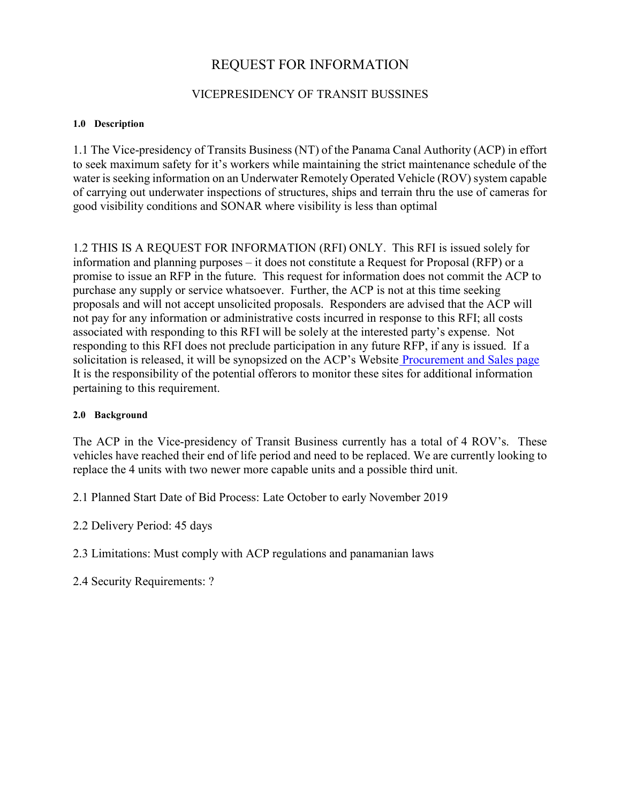# REQUEST FOR INFORMATION

# VICEPRESIDENCY OF TRANSIT BUSSINES

#### 1.0 Description

1.1 The Vice-presidency of Transits Business (NT) of the Panama Canal Authority (ACP) in effort to seek maximum safety for it's workers while maintaining the strict maintenance schedule of the water is seeking information on an Underwater Remotely Operated Vehicle (ROV) system capable of carrying out underwater inspections of structures, ships and terrain thru the use of cameras for good visibility conditions and SONAR where visibility is less than optimal

1.2 THIS IS A REQUEST FOR INFORMATION (RFI) ONLY. This RFI is issued solely for information and planning purposes – it does not constitute a Request for Proposal (RFP) or a promise to issue an RFP in the future. This request for information does not commit the ACP to purchase any supply or service whatsoever. Further, the ACP is not at this time seeking proposals and will not accept unsolicited proposals. Responders are advised that the ACP will not pay for any information or administrative costs incurred in response to this RFI; all costs associated with responding to this RFI will be solely at the interested party's expense. Not responding to this RFI does not preclude participation in any future RFP, if any is issued. If a solicitation is released, it will be synopsized on the ACP's Website Procurement and Sales page It is the responsibility of the potential offerors to monitor these sites for additional information pertaining to this requirement.

#### 2.0 Background

The ACP in the Vice-presidency of Transit Business currently has a total of 4 ROV's. These vehicles have reached their end of life period and need to be replaced. We are currently looking to replace the 4 units with two newer more capable units and a possible third unit.

2.1 Planned Start Date of Bid Process: Late October to early November 2019

2.2 Delivery Period: 45 days

2.3 Limitations: Must comply with ACP regulations and panamanian laws

2.4 Security Requirements: ?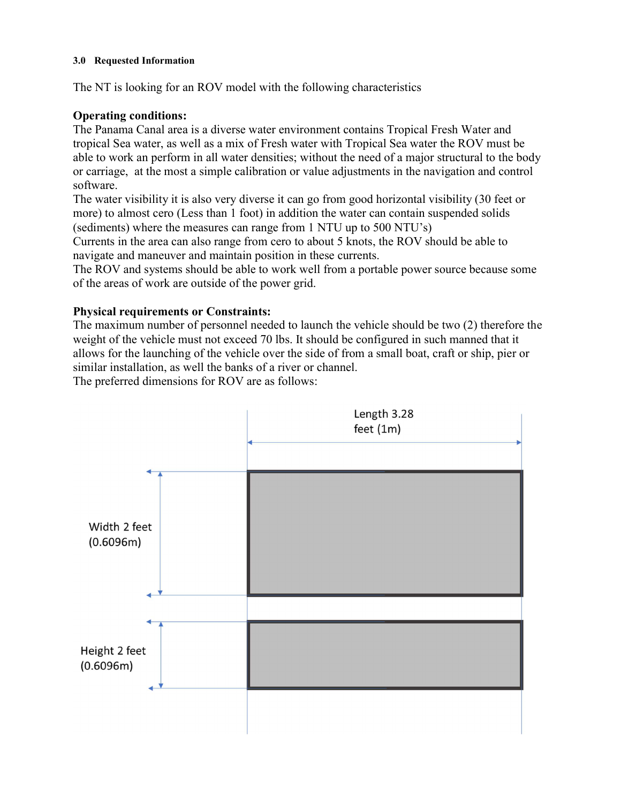#### 3.0 Requested Information

The NT is looking for an ROV model with the following characteristics

## Operating conditions:

The Panama Canal area is a diverse water environment contains Tropical Fresh Water and tropical Sea water, as well as a mix of Fresh water with Tropical Sea water the ROV must be able to work an perform in all water densities; without the need of a major structural to the body or carriage, at the most a simple calibration or value adjustments in the navigation and control software.

The water visibility it is also very diverse it can go from good horizontal visibility (30 feet or more) to almost cero (Less than 1 foot) in addition the water can contain suspended solids (sediments) where the measures can range from 1 NTU up to 500 NTU's)

Currents in the area can also range from cero to about 5 knots, the ROV should be able to navigate and maneuver and maintain position in these currents.

The ROV and systems should be able to work well from a portable power source because some of the areas of work are outside of the power grid.

### Physical requirements or Constraints:

The maximum number of personnel needed to launch the vehicle should be two (2) therefore the weight of the vehicle must not exceed 70 lbs. It should be configured in such manned that it allows for the launching of the vehicle over the side of from a small boat, craft or ship, pier or similar installation, as well the banks of a river or channel.

The preferred dimensions for ROV are as follows:

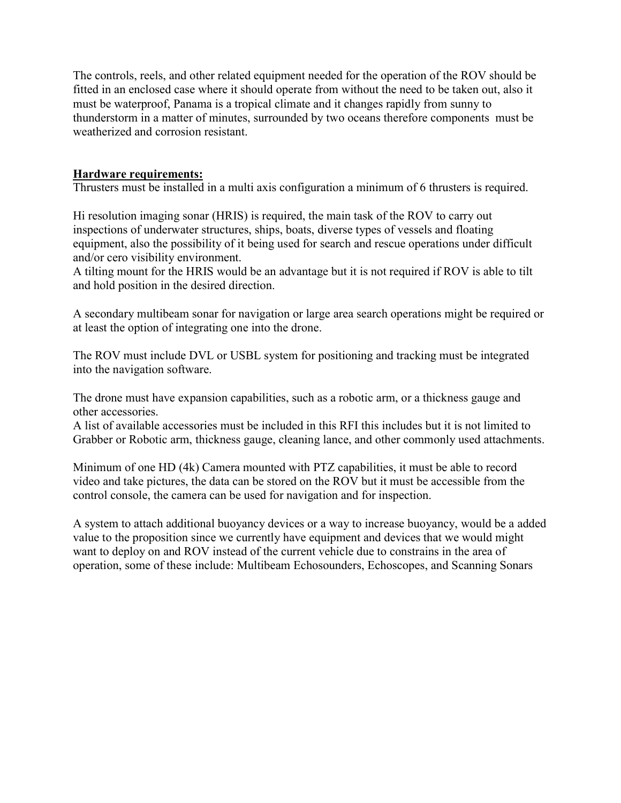The controls, reels, and other related equipment needed for the operation of the ROV should be fitted in an enclosed case where it should operate from without the need to be taken out, also it must be waterproof, Panama is a tropical climate and it changes rapidly from sunny to thunderstorm in a matter of minutes, surrounded by two oceans therefore components must be weatherized and corrosion resistant.

## Hardware requirements:

Thrusters must be installed in a multi axis configuration a minimum of 6 thrusters is required.

Hi resolution imaging sonar (HRIS) is required, the main task of the ROV to carry out inspections of underwater structures, ships, boats, diverse types of vessels and floating equipment, also the possibility of it being used for search and rescue operations under difficult and/or cero visibility environment.

A tilting mount for the HRIS would be an advantage but it is not required if ROV is able to tilt and hold position in the desired direction.

A secondary multibeam sonar for navigation or large area search operations might be required or at least the option of integrating one into the drone.

The ROV must include DVL or USBL system for positioning and tracking must be integrated into the navigation software.

The drone must have expansion capabilities, such as a robotic arm, or a thickness gauge and other accessories.

A list of available accessories must be included in this RFI this includes but it is not limited to Grabber or Robotic arm, thickness gauge, cleaning lance, and other commonly used attachments.

Minimum of one HD (4k) Camera mounted with PTZ capabilities, it must be able to record video and take pictures, the data can be stored on the ROV but it must be accessible from the control console, the camera can be used for navigation and for inspection.

A system to attach additional buoyancy devices or a way to increase buoyancy, would be a added value to the proposition since we currently have equipment and devices that we would might want to deploy on and ROV instead of the current vehicle due to constrains in the area of operation, some of these include: Multibeam Echosounders, Echoscopes, and Scanning Sonars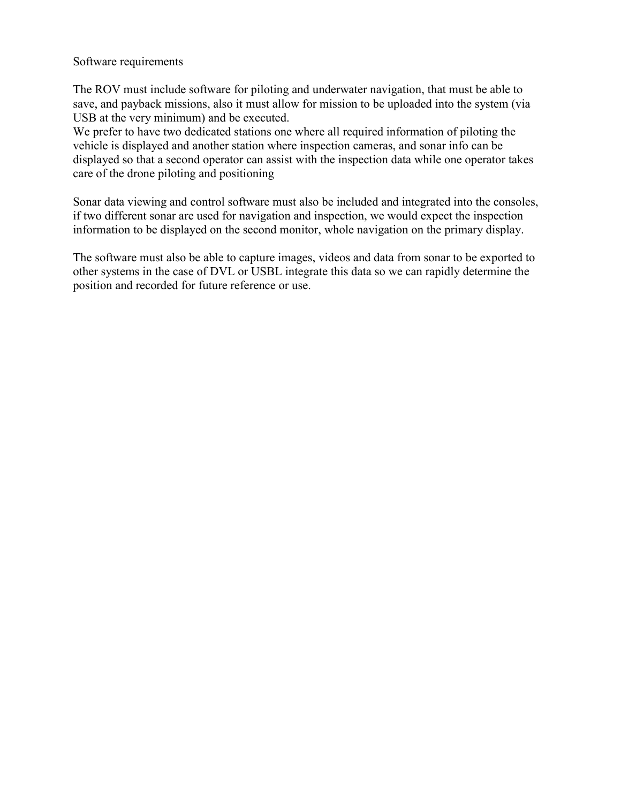## Software requirements

The ROV must include software for piloting and underwater navigation, that must be able to save, and payback missions, also it must allow for mission to be uploaded into the system (via USB at the very minimum) and be executed.

We prefer to have two dedicated stations one where all required information of piloting the vehicle is displayed and another station where inspection cameras, and sonar info can be displayed so that a second operator can assist with the inspection data while one operator takes care of the drone piloting and positioning

Sonar data viewing and control software must also be included and integrated into the consoles, if two different sonar are used for navigation and inspection, we would expect the inspection information to be displayed on the second monitor, whole navigation on the primary display.

The software must also be able to capture images, videos and data from sonar to be exported to other systems in the case of DVL or USBL integrate this data so we can rapidly determine the position and recorded for future reference or use.